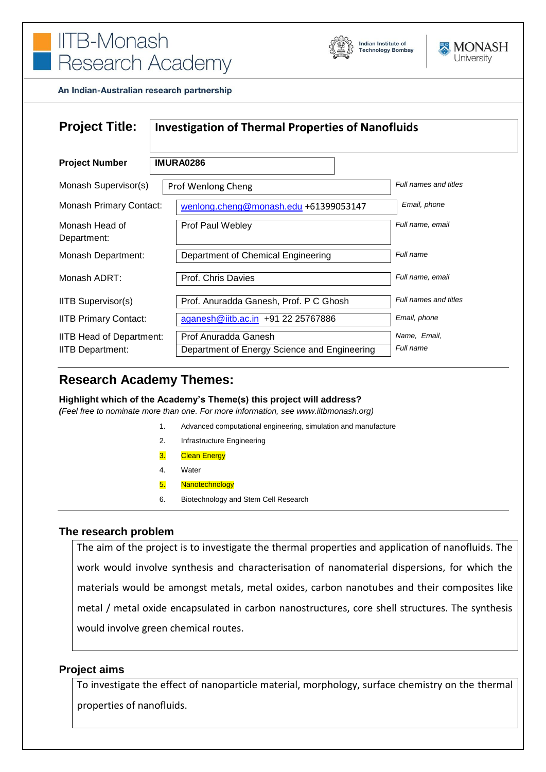



An Indian-Australian research partnership

| <b>Project Title:</b>                                      | <b>Investigation of Thermal Properties of Nanofluids</b>             |                           |
|------------------------------------------------------------|----------------------------------------------------------------------|---------------------------|
| <b>Project Number</b>                                      | <b>IMURA0286</b>                                                     |                           |
| Monash Supervisor(s)                                       | Prof Wenlong Cheng                                                   | Full names and titles     |
| <b>Monash Primary Contact:</b>                             | wenlong.cheng@monash.edu +61399053147                                | Email, phone              |
| Monash Head of<br>Department:                              | Prof Paul Webley                                                     | Full name, email          |
| Monash Department:                                         | Department of Chemical Engineering                                   | Full name                 |
| Monash ADRT:                                               | Prof. Chris Davies                                                   | Full name, email          |
| <b>IITB Supervisor(s)</b>                                  | Prof. Anuradda Ganesh, Prof. P C Ghosh                               | Full names and titles     |
| <b>IITB Primary Contact:</b>                               | aganesh@iitb.ac.in +91 22 25767886                                   | Email, phone              |
| <b>IITB Head of Department:</b><br><b>IITB Department:</b> | Prof Anuradda Ganesh<br>Department of Energy Science and Engineering | Name, Email,<br>Full name |

# **Research Academy Themes:**

**Highlight which of the Academy's Theme(s) this project will address?**

*(Feel free to nominate more than one. For more information, see www.iitbmonash.org)*

- 1. Advanced computational engineering, simulation and manufacture
- 2. Infrastructure Engineering
- 3. Clean Energy
- 4. Water
- 5. Nanotechnology
- 6. Biotechnology and Stem Cell Research

### **The research problem**

The aim of the project is to investigate the thermal properties and application of nanofluids. The work would involve synthesis and characterisation of nanomaterial dispersions, for which the materials would be amongst metals, metal oxides, carbon nanotubes and their composites like metal / metal oxide encapsulated in carbon nanostructures, core shell structures. The synthesis would involve green chemical routes.

### **Project aims**

To investigate the effect of nanoparticle material, morphology, surface chemistry on the thermal properties of nanofluids.